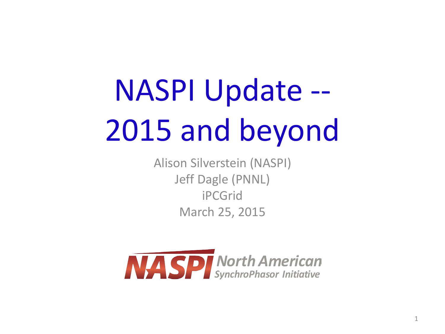# NASPI Update -- 2015 and beyond

Alison Silverstein (NASPI) Jeff Dagle (PNNL) iPCGrid March 25, 2015

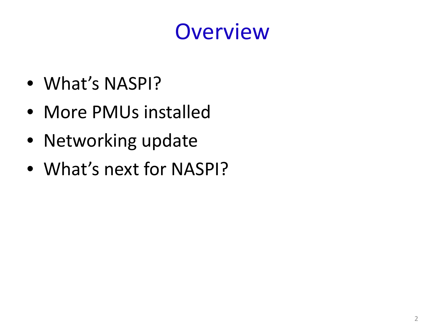#### **Overview**

- What's NASPI?
- More PMUs installed
- Networking update
- What's next for NASPI?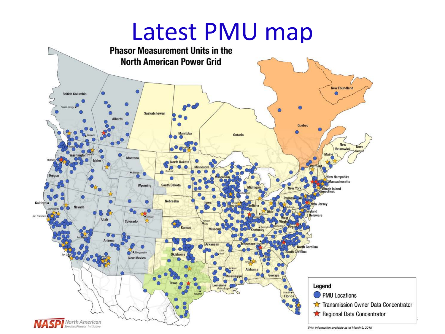# **Latest PMU map**<br>Phasor Measurement Units in the



 $\mathbb{R}$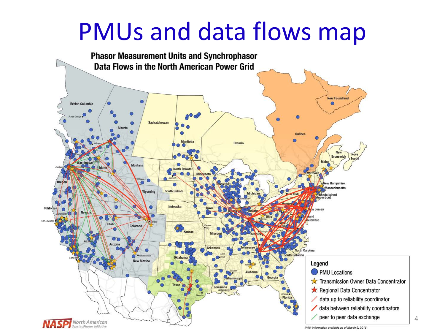#### PMUs and data flows map



4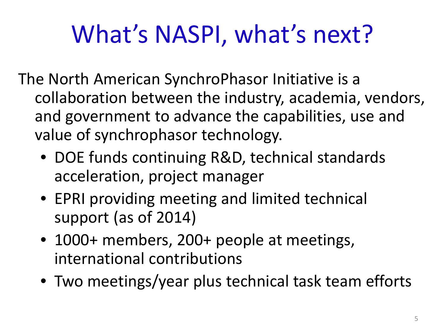## What's NASPI, what's next?

- The North American SynchroPhasor Initiative is a collaboration between the industry, academia, vendors, and government to advance the capabilities, use and value of synchrophasor technology.
	- DOE funds continuing R&D, technical standards acceleration, project manager
	- EPRI providing meeting and limited technical support (as of 2014)
	- 1000+ members, 200+ people at meetings, international contributions
	- Two meetings/year plus technical task team efforts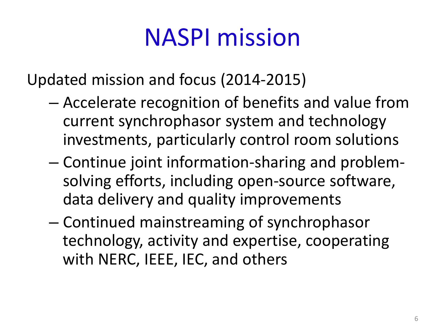#### NASPI mission

Updated mission and focus (2014-2015)

- Accelerate recognition of benefits and value from current synchrophasor system and technology investments, particularly control room solutions
- Continue joint information-sharing and problemsolving efforts, including open-source software, data delivery and quality improvements
- Continued mainstreaming of synchrophasor technology, activity and expertise, cooperating with NERC, IEEE, IEC, and others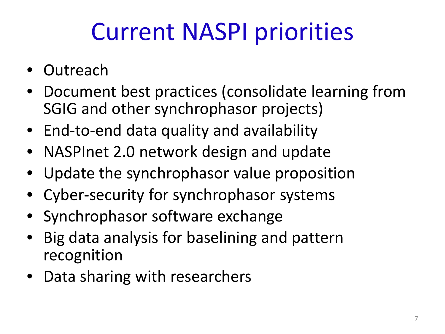### Current NASPI priorities

- Outreach
- Document best practices (consolidate learning from SGIG and other synchrophasor projects)
- End-to-end data quality and availability
- NASPInet 2.0 network design and update
- Update the synchrophasor value proposition
- Cyber-security for synchrophasor systems
- Synchrophasor software exchange
- Big data analysis for baselining and pattern recognition
- Data sharing with researchers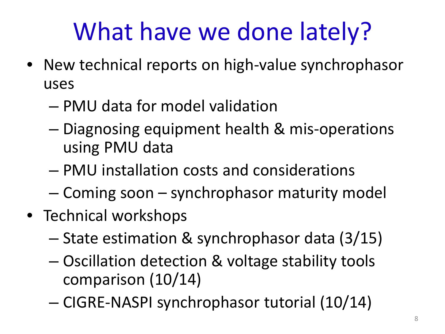### What have we done lately?

- New technical reports on high-value synchrophasor uses
	- PMU data for model validation
	- Diagnosing equipment health & mis-operations using PMU data
	- PMU installation costs and considerations
	- Coming soon synchrophasor maturity model
- Technical workshops
	- State estimation & synchrophasor data (3/15)
	- Oscillation detection & voltage stability tools comparison (10/14)
	- CIGRE-NASPI synchrophasor tutorial (10/14)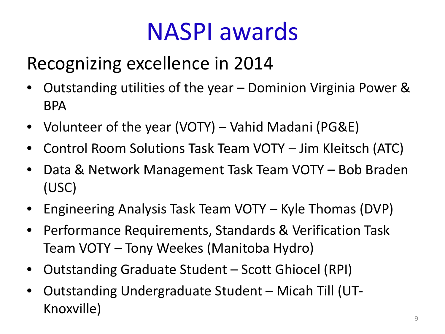#### NASPI awards

#### Recognizing excellence in 2014

- Outstanding utilities of the year Dominion Virginia Power & BPA
- Volunteer of the year (VOTY) Vahid Madani (PG&E)
- Control Room Solutions Task Team VOTY Jim Kleitsch (ATC)
- Data & Network Management Task Team VOTY Bob Braden (USC)
- Engineering Analysis Task Team VOTY Kyle Thomas (DVP)
- Performance Requirements, Standards & Verification Task Team VOTY – Tony Weekes (Manitoba Hydro)
- Outstanding Graduate Student Scott Ghiocel (RPI)
- Outstanding Undergraduate Student Micah Till (UT-Knoxville)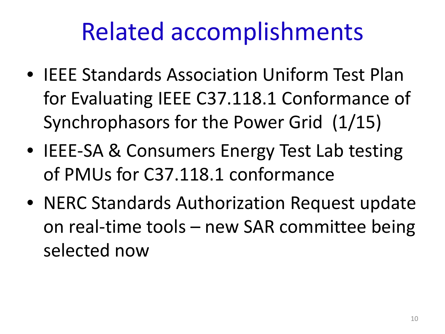#### Related accomplishments

- IEEE Standards Association Uniform Test Plan for Evaluating IEEE C37.118.1 Conformance of Synchrophasors for the Power Grid (1/15)
- IEEE-SA & Consumers Energy Test Lab testing of PMUs for C37.118.1 conformance
- NERC Standards Authorization Request update on real-time tools – new SAR committee being selected now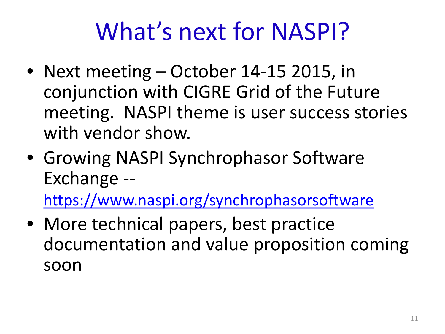### What's next for NASPI?

- Next meeting October 14-15 2015, in conjunction with CIGRE Grid of the Future meeting. NASPI theme is user success stories with vendor show.
- Growing NASPI Synchrophasor Software Exchange --

<https://www.naspi.org/synchrophasorsoftware>

• More technical papers, best practice documentation and value proposition coming soon